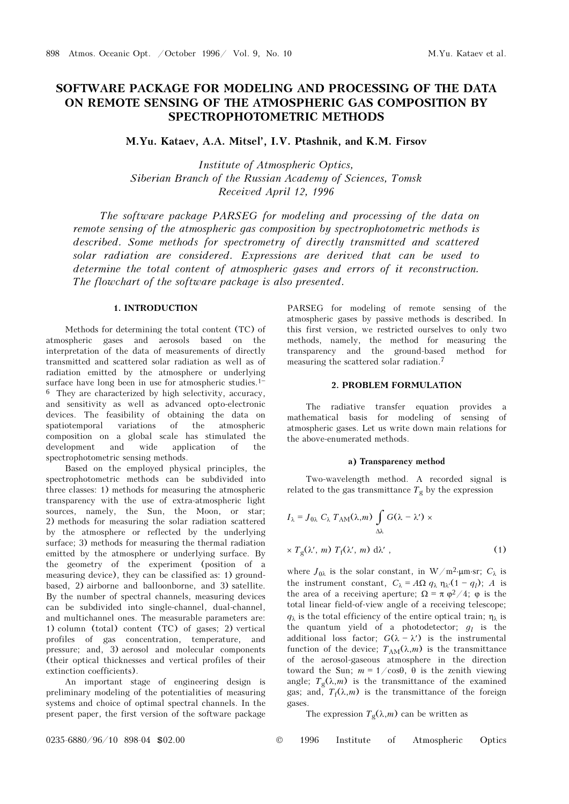# SOFTWARE PACKAGE FOR MODELING AND PROCESSING OF THE DATA ON REMOTE SENSING OF THE ATMOSPHERIC GAS COMPOSITION BY SPECTROPHOTOMETRIC METHODS

# M.Yu. Kataev, A.A. Mitsel', I.V. Ptashnik, and K.M. Firsov

Institute of Atmospheric Optics, Siberian Branch of the Russian Academy of Sciences, Tomsk Received April 12, 1996

The software package PARSEG for modeling and processing of the data on remote sensing of the atmospheric gas composition by spectrophotometric methods is described. Some methods for spectrometry of directly transmitted and scattered solar radiation are considered. Expressions are derived that can be used to determine the total content of atmospheric gases and errors of it reconstruction. The flowchart of the software package is also presented.

# 1. INTRODUCTION

Methods for determining the total content (TC) of atmospheric gases and aerosols based on the interpretation of the data of measurements of directly transmitted and scattered solar radiation as well as of radiation emitted by the atmosphere or underlying surface have long been in use for atmospheric studies.<sup>1-1</sup>  $6$  They are characterized by high selectivity, accuracy, and sensitivity as well as advanced opto-electronic devices. The feasibility of obtaining the data on spatiotemporal variations of the atmospheric composition on a global scale has stimulated the development and wide application of the spectrophotometric sensing methods.

Based on the employed physical principles, the spectrophotometric methods can be subdivided into three classes: 1) methods for measuring the atmospheric transparency with the use of extra-atmospheric light sources, namely, the Sun, the Moon, or star; 2) methods for measuring the solar radiation scattered by the atmosphere or reflected by the underlying surface; 3) methods for measuring the thermal radiation emitted by the atmosphere or underlying surface. By the geometry of the experiment (position of a measuring device), they can be classified as: 1) groundbased, 2) airborne and balloonborne, and 3) satellite. By the number of spectral channels, measuring devices can be subdivided into single-channel, dual-channel, and multichannel ones. The measurable parameters are: 1) column (total) content (TC) of gases; 2) vertical profiles of gas concentration, temperature, and pressure; and, 3) aerosol and molecular components (their optical thicknesses and vertical profiles of their extinction coefficients).

An important stage of engineering design is preliminary modeling of the potentialities of measuring systems and choice of optimal spectral channels. In the present paper, the first version of the software package

PARSEG for modeling of remote sensing of the atmospheric gases by passive methods is described. In this first version, we restricted ourselves to only two methods, namely, the method for measuring the transparency and the ground-based method for measuring the scattered solar radiation.7

#### 2. PROBLEM FORMULATION

The radiative transfer equation provides a mathematical basis for modeling of sensing of atmospheric gases. Let us write down main relations for the above-enumerated methods.

#### a) Transparency method

Two-wavelength method. A recorded signal is related to the gas transmittance  $T_g$  by the expression

$$
I_{\lambda} = J_{0\lambda} C_{\lambda} T_{AM}(\lambda, m) \int_{\Delta \lambda} G(\lambda - \lambda') \times
$$
  
 
$$
\times T_{g}(\lambda', m) T_{f}(\lambda', m) d\lambda', \qquad (1)
$$

where  $J_{0\lambda}$  is the solar constant, in W/m<sup>2</sup>⋅μm⋅sr;  $C_{\lambda}$  is the instrument constant,  $C_{\lambda} = A\Omega q_{\lambda} \eta_{\lambda'} (1 - q_l); A$  is the area of a receiving aperture;  $\Omega = \pi \varphi^2/4$ ;  $\varphi$  is the total linear field-of-view angle of a receiving telescope;  $q_{\lambda}$  is the total efficiency of the entire optical train;  $\eta_{\lambda}$  is the quantum yield of a photodetector;  $g_l$  is the additional loss factor;  $G(\lambda - \lambda')$  is the instrumental function of the device;  $T_{AM}(\lambda,m)$  is the transmittance of the aerosol-gaseous atmosphere in the direction toward the Sun;  $m = 1/\cos\theta$ ,  $\theta$  is the zenith viewing angle;  $T_g(\lambda,m)$  is the transmittance of the examined gas; and,  $T_f(\lambda,m)$  is the transmittance of the foreign gases.

The expression  $T_g(\lambda,m)$  can be written as

0235-6880/96/10 898-04 \$02.00 © 1996 Institute of Atmospheric Optics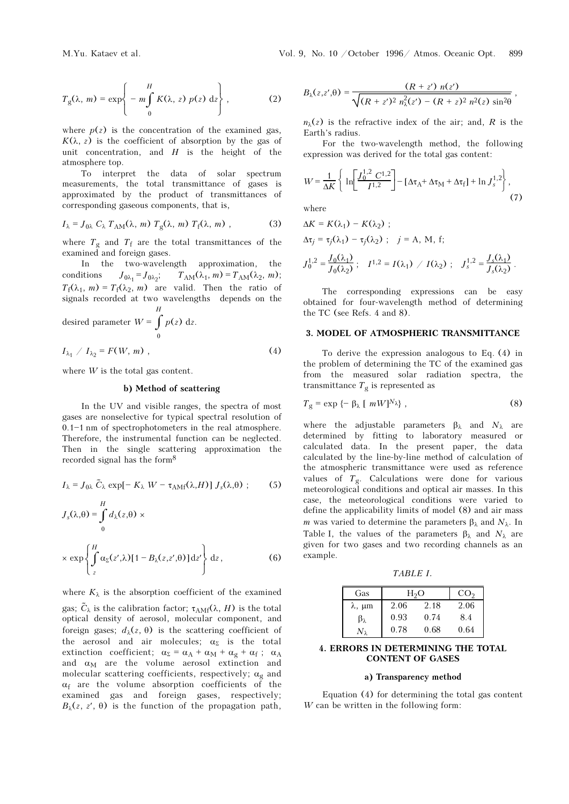$$
T_g(\lambda, m) = \exp\left\{-\frac{H}{m \int_0^H K(\lambda, z) p(z) dz}\right\},
$$
 (2)

where  $p(z)$  is the concentration of the examined gas,  $K(\lambda, z)$  is the coefficient of absorption by the gas of unit concentration, and  $H$  is the height of the atmosphere top.

To interpret the data of solar spectrum measurements, the total transmittance of gases is approximated by the product of transmittances of corresponding gaseous components, that is,

$$
I_{\lambda} = J_{0\lambda} C_{\lambda} T_{AM}(\lambda, m) T_g(\lambda, m) T_f(\lambda, m) , \qquad (3)
$$

where  $T_g$  and  $T_f$  are the total transmittances of the examined and foreign gases.

In the two-wavelength approximation, the conditions  $J_{0\lambda_1} = J_{0\lambda_2}$  $J_{0\lambda_1} = J_{0\lambda_2};$   $T_{AM}(\lambda_1, m) = T_{AM}(\lambda_2, m);$  $T_f(\lambda_1, m) = T_f(\lambda_2, m)$  are valid. Then the ratio of recorded at two wavelengths depends on the signals recorded at two wavelengths depends on the H

desired parameter 
$$
W = \int_{0}^{L} p(z) dz
$$
.  
\n $I_{\lambda_1} / I_{\lambda_2} = F(W, m)$ , (4)

where  $W$  is the total gas content.

#### b) Method of scattering

In the UV and visible ranges, the spectra of most gases are nonselective for typical spectral resolution of  $0.1 - 1$  nm of spectrophotometers in the real atmosphere. Therefore, the instrumental function can be neglected. Then in the single scattering approximation the recorded signal has the form8

$$
I_{\lambda} = J_{0\lambda} \tilde{C}_{\lambda} \exp[-K_{\lambda} W - \tau_{\text{AMf}}(\lambda, H)] J_s(\lambda, \theta) ; \qquad (5)
$$

$$
J_{s}(\lambda,\theta) = \int_{0}^{H} d_{\lambda}(z,\theta) \times
$$
  
 
$$
\times \exp\left\{\int_{z}^{H} \alpha_{\Sigma}(z',\lambda)[1 - B_{\lambda}(z,z',\theta)] dz'\right\} dz,
$$
 (6)

where  $K_{\lambda}$  is the absorption coefficient of the examined gas;  $\tilde{C}_{\lambda}$  is the calibration factor;  $\tau_{AMf}(\lambda, H)$  is the total<br>optical density of agreeal molecular component, and optical density of aerosol, molecular component, and foreign gases;  $d<sub>λ</sub>(z, θ)$  is the scattering coefficient of the aerosol and air molecules;  $\alpha_{\Sigma}$  is the total extinction coefficient;  $\alpha_{\Sigma} = \alpha_A + \alpha_M + \alpha_g + \alpha_f$ ;  $\alpha_A$ <br>and  $\alpha_M$  are the volume aerosol extinction and<br>molecular sesttering coefficients respectively;  $\alpha$  and molecular scattering coefficients, respectively;  $\alpha_g$  and  $\alpha_s$  are the volume absorption coefficients of the  $\alpha_f$  are the volume absorption coefficients of the examined as and foreign asses respectively: examined gas and foreign gases, respectively;  $B_{\lambda}(z, z', \theta)$  is the function of the propagation path,

$$
B_{\lambda}(z,z',\theta) = \frac{(R+z') n(z')}{\sqrt{(R+z')^2 n_{\lambda}^2(z') - (R+z)^2 n^2(z) \sin^2\theta}}\,,
$$

 $n_{\lambda}(z)$  is the refractive index of the air; and, R is the Earth's radius.

For the two-wavelength method, the following expression was derived for the total gas content:

$$
W = \frac{1}{\Delta K} \left\{ \ln \left[ \frac{J_0^{1,2} C^{1,2}}{I^{1,2}} \right] - \left[ \Delta \tau_A + \Delta \tau_M + \Delta \tau_f \right] + \ln J_s^{1,2} \right\},\tag{7}
$$

where

$$
\Delta K = K(\lambda_1) - K(\lambda_2) ;
$$
  
\n
$$
\Delta \tau_j = \tau_j(\lambda_1) - \tau_j(\lambda_2) ; \quad j = A, M, f;
$$
  
\n
$$
J_0^{1,2} = \frac{J_0(\lambda_1)}{J_0(\lambda_2)} ; \quad I^{1,2} = I(\lambda_1) / I(\lambda_2) ; \quad J_s^{1,2} = \frac{J_s(\lambda_1)}{J_s(\lambda_2)} .
$$

The corresponding expressions can be easy obtained for four-wavelength method of determining the TC (see Refs. 4 and 8).

# 3. MODEL OF ATMOSPHERIC TRANSMITTANCE

To derive the expression analogous to Eq. (4) in the problem of determining the TC of the examined gas from the measured solar radiation spectra, the transmittance  $T_g$  is represented as

$$
T_g = \exp \{-\beta_\lambda \left[ \ mW \right]^{N_\lambda} \}, \tag{8}
$$

where the adjustable parameters  $\beta_{\lambda}$  and  $N_{\lambda}$  are determined by fitting to laboratory measured or calculated data. In the present paper, the data calculated by the line-by-line method of calculation of the atmospheric transmittance were used as reference values of  $T_g$ . Calculations were done for various meteorological conditions and optical air masses. In this case, the meteorological conditions were varied to define the applicability limits of model (8) and air mass m was varied to determine the parameters  $\beta_{\lambda}$  and  $N_{\lambda}$ . In Table I, the values of the parameters  $\beta_{\lambda}$  and  $N_{\lambda}$  are given for two gases and two recording channels as an example.

TABLE I.

| Gas                 | H2O  |      | CO <sub>2</sub> |
|---------------------|------|------|-----------------|
| $\lambda$ , $\mu$ m | 2.06 | 2.18 | 2.06            |
| $\beta_{\lambda}$   | 0.93 | 0.74 | 8.4             |
| $N_{\lambda}$       | 0.78 | 0.68 | 0.64            |

## 4. ERRORS IN DETERMINING THE TOTAL CONTENT OF GASES

#### a) Transparency method

Equation (4) for determining the total gas content W can be written in the following form: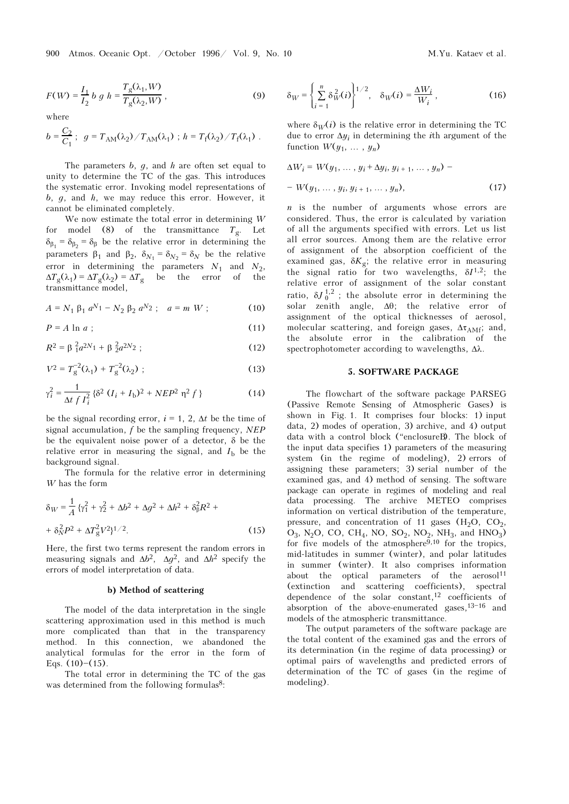900 Atmos. Oceanic Opt. / October 1996/ Vol. 9, No. 10 M.Yu. Kataev et al.

$$
F(W) = \frac{I_1}{I_2} b g h = \frac{T_g(\lambda_1, W)}{T_g(\lambda_2, W)},
$$
\n(9)

where

$$
b = \frac{C_2}{C_1}; \ \ g = T_{AM}(\lambda_2) / T_{AM}(\lambda_1) ; \ h = T_f(\lambda_2) / T_f(\lambda_1) .
$$

The parameters  $b, q$ , and  $h$  are often set equal to unity to determine the TC of the gas. This introduces the systematic error. Invoking model representations of  $b, q,$  and  $h$ , we may reduce this error. However, it cannot be eliminated completely.

We now estimate the total error in determining W for model (8) of the transmittance  $T_g$ . Let  $\delta_{\beta_1} = \delta_{\beta_2} = \delta_{\beta}$  be the relative error in determining the parameters  $\beta_1$  and  $\beta_2$ ,  $\delta_{N_1} = \delta_{N_2} = \delta_N$  be the relative error in determining the parameters  $N_1$  and  $N_2$ ,  $\Delta T_{\rm g}(\lambda_1) = \Delta T_{\rm g}(\lambda_2) = \Delta T_{\rm g}$  be the error of the transmittance model,

$$
A = N_1 \beta_1 a^{N_1} - N_2 \beta_2 a^{N_2}; \quad a = m W ; \tag{10}
$$

$$
P = A \ln a \tag{11}
$$

$$
R^2 = \beta_1^2 a^{2N_1} + \beta_2^2 a^{2N_2};
$$
 (12)

$$
V^2 = T_g^{-2}(\lambda_1) + T_g^{-2}(\lambda_2) ; \qquad (13)
$$

$$
\gamma_i^2 = \frac{1}{\Delta t f I_i^2} \left\{ \delta^2 (I_i + I_b)^2 + NEP^2 \eta^2 f \right\}
$$
 (14)

be the signal recording error,  $i = 1, 2, \Delta t$  be the time of signal accumulation,  $f$  be the sampling frequency,  $NEP$ be the equivalent noise power of a detector, δ be the relative error in measuring the signal, and  $I<sub>b</sub>$  be the background signal.

The formula for the relative error in determining W has the form

$$
\delta_W = \frac{1}{A} \left\{ \gamma_1^2 + \gamma_2^2 + \Delta b^2 + \Delta g^2 + \Delta h^2 + \delta_\beta^2 R^2 + \right. \\
\left. + \delta_N^2 P^2 + \Delta T_g^2 V^2 \right\}^{1/2}.\n\tag{15}
$$

Here, the first two terms represent the random errors in measuring signals and  $\Delta b^2$ ,  $\Delta q^2$ , and  $\Delta h^2$  specify the errors of model interpretation of data.

#### b) Method of scattering

The model of the data interpretation in the single scattering approximation used in this method is much more complicated than that in the transparency method. In this connection, we abandoned the analytical formulas for the error in the form of Eqs.  $(10)$ – $(15)$ .

The total error in determining the TC of the gas was determined from the following formulas<sup>8</sup>:

$$
\delta_W = \left\{ \sum_{i=1}^n \delta_W^2(i) \right\}^{1/2}, \quad \delta_W(i) = \frac{\Delta W_i}{W_i}, \tag{16}
$$

where  $\delta_W(i)$  is the relative error in determining the TC due to error  $\Delta y_i$  in determining the *i*th argument of the function  $W(y_1, \ldots, y_n)$ 

$$
\Delta W_i = W(y_1, ..., y_i + \Delta y_i, y_{i+1}, ..., y_n) -
$$
  
- W(y<sub>1</sub>, ..., y<sub>i</sub>, y<sub>i+1</sub>, ..., y<sub>n</sub>), (17)

 $n$  is the number of arguments whose errors are considered. Thus, the error is calculated by variation of all the arguments specified with errors. Let us list all error sources. Among them are the relative error of assignment of the absorption coefficient of the examined gas,  $\delta K_g$ ; the relative error in measuring the signal ratio for two wavelengths,  $\delta I^{1,2}$ ; the relative error of assignment of the solar constant ratio,  $\delta J_0^{1,2}$ ; the absolute error in determining the solar zonith angle  $\Delta \theta$ ; the relative error of solar zenith angle, Δθ; the relative error of assignment of the optical thicknesses of aerosol, molecular scattering, and foreign gases,  $\Delta \tau_{AMf}$ ; and, the absolute error in the calibration of the the absolute error in the calibration of the spectrophotometer according to wavelengths, Δλ.

#### 5. SOFTWARE PACKAGE

The flowchart of the software package PARSEG (Passive Remote Sensing of Atmospheric Gases) is shown in Fig. 1. It comprises four blocks: 1) input data, 2) modes of operation, 3) archive, and 4) output data with a control block ("enclosureB). The block of the input data specifies 1) parameters of the measuring system (in the regime of modeling), 2) errors of assigning these parameters; 3) serial number of the examined gas, and 4) method of sensing. The software package can operate in regimes of modeling and real data processing. The archive METEO comprises information on vertical distribution of the temperature, pressure, and concentration of 11 gases  $(H_2O, CO_2, O_3, N_1O, CO_2, CH, NO, SO_3, NO_3, CH_3, and HNO_3)$  $O_3$ , N<sub>2</sub>O, CO, CH<sub>4</sub>, NO, SO<sub>2</sub>, NO<sub>2</sub>, NH<sub>3</sub>, and HNO<sub>3</sub>)<br>for five models of the atmosphere<sup>9,10</sup> for the tropics for five models of the atmosphere $9,10$  for the tropics, mid-latitudes in summer (winter), and polar latitudes in summer (winter). It also comprises information about the optical parameters of the aerosol<sup>11</sup><br>(extinction and scattering coefficients), spectral and scattering coefficients), spectral dependence of the solar constant,<sup>12</sup> coefficients of absorption of the above-enumerated gases,  $13-16$  and models of the atmospheric transmittance.

The output parameters of the software package are the total content of the examined gas and the errors of its determination (in the regime of data processing) or optimal pairs of wavelengths and predicted errors of determination of the TC of gases (in the regime of modeling).